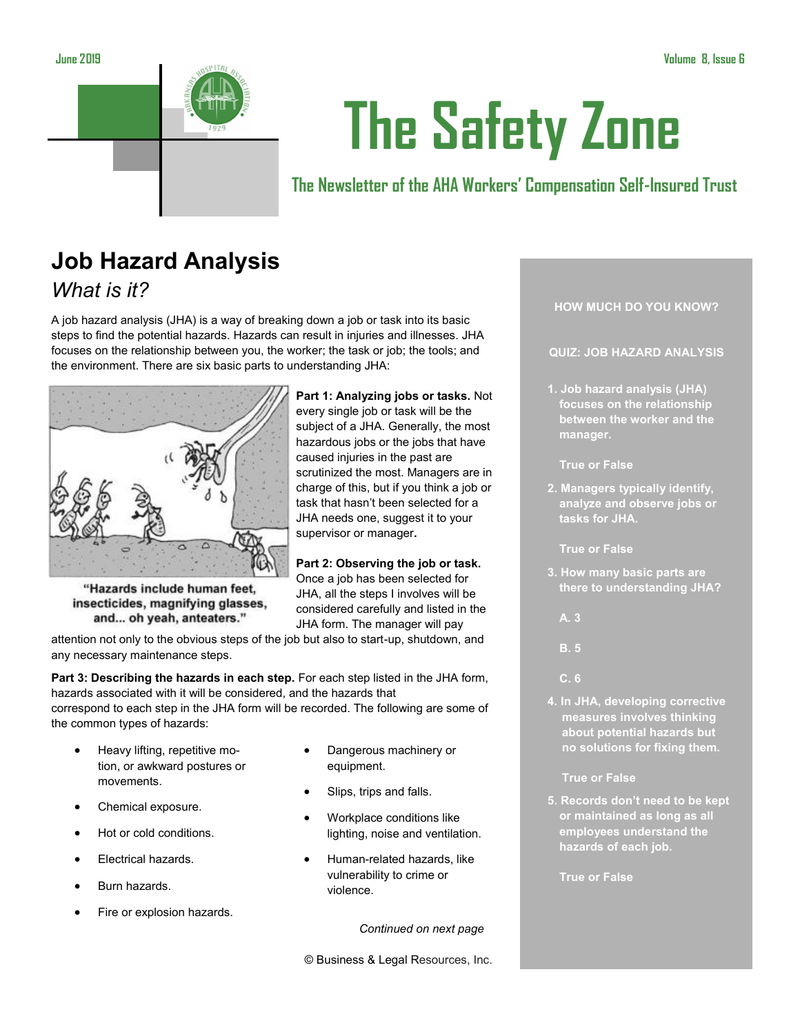

# **The Safety Zone**

**The Newsletter of the AHA Workers' Compensation Self-Insured Trust**

# **Job Hazard Analysis** *What is it?*

A job hazard analysis (JHA) is a way of breaking down a job or task into its basic steps to find the potential hazards. Hazards can result in injuries and illnesses. JHA focuses on the relationship between you, the worker; the task or job; the tools; and the environment. There are six basic parts to understanding JHA:



"Hazards include human feet, insecticides, magnifying glasses, and... oh yeah, anteaters."

attention not only to the obvious steps of the job but also to start-up, shutdown, and any necessary maintenance steps.

**Part 3: Describing the hazards in each step.** For each step listed in the JHA form, hazards associated with it will be considered, and the hazards that correspond to each step in the JHA form will be recorded. The following are some of the common types of hazards:

- Heavy lifting, repetitive motion, or awkward postures or movements.
- Chemical exposure.
- Hot or cold conditions.
- Electrical hazards.
- Burn hazards.
- Fire or explosion hazards.

• Dangerous machinery or equipment.

**Part 1: Analyzing jobs or tasks.** Not every single job or task will be the subject of a JHA. Generally, the most hazardous jobs or the jobs that have caused injuries in the past are scrutinized the most. Managers are in charge of this, but if you think a job or task that hasn't been selected for a JHA needs one, suggest it to your

Slips, trips and falls.

supervisor or manager**.**

**Part 2: Observing the job or task.**  Once a job has been selected for JHA, all the steps I involves will be considered carefully and listed in the JHA form. The manager will pay

- Workplace conditions like lighting, noise and ventilation.
- Human-related hazards, like vulnerability to crime or violence.

*Continued on next page*

© Business & Legal Resources, Inc.

**HOW MUCH DO YOU KNOW?**

### **QUIZ: JOB HAZARD ANALYSIS**

- **1. Job hazard analysis (JHA) focuses on the relationship between the worker and the manager.** 
	- **True or False**
- **2. Managers typically identify, analyze and observe jobs or tasks for JHA.**

**True or False**

- **3. How many basic parts are there to understanding JHA?**
- **A. 3**
- **B. 5**
- **C. 6**
- **4. In JHA, developing corrective measures involves thinking about potential hazards but no solutions for fixing them.**

**True or False**

**5. Records don't need to be kept or maintained as long as all employees understand the hazards of each job.** 

**True or False**